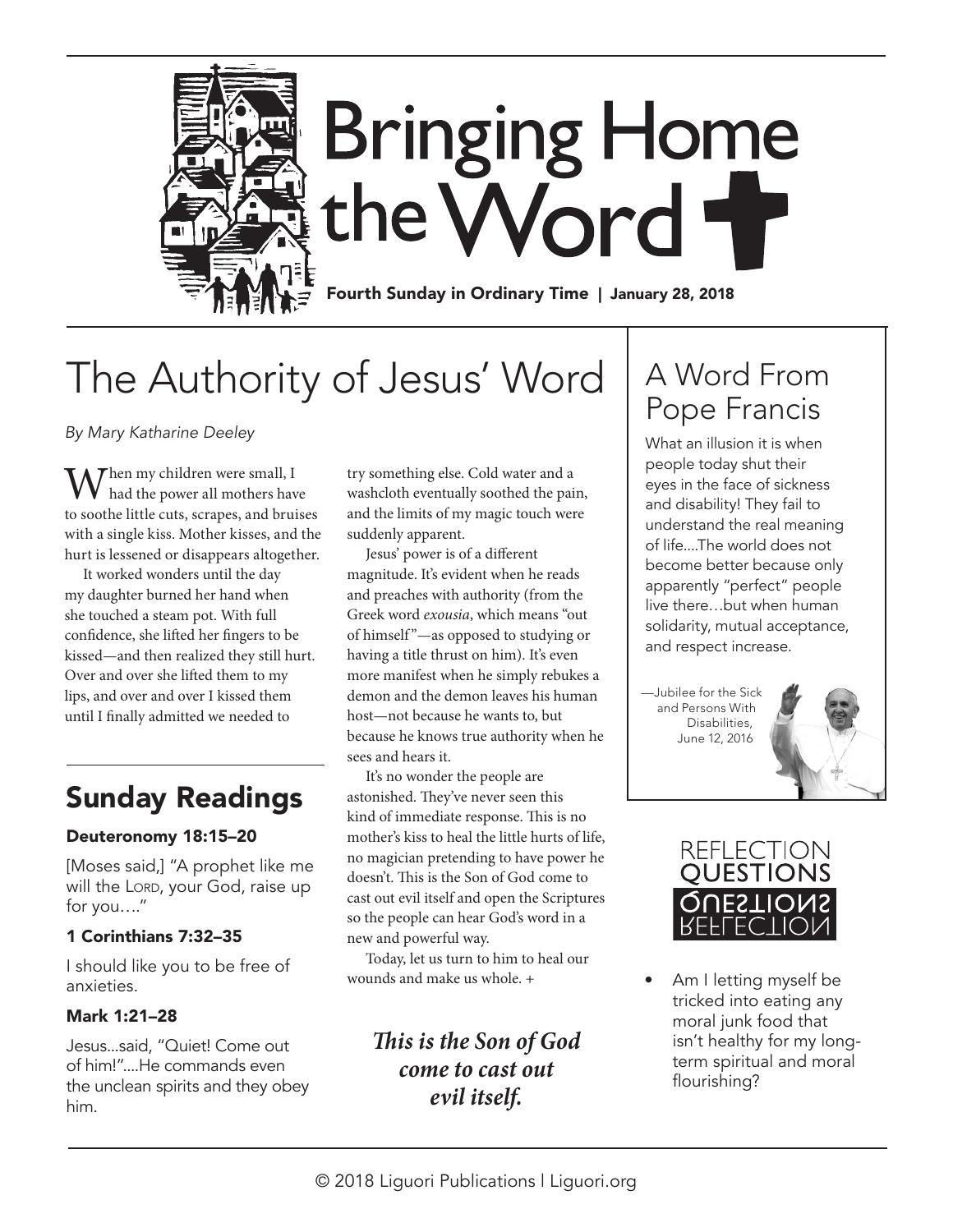

# **Bringing Home** the Word

Fourth Sunday in Ordinary Time | January 28, 2018

## The Authority of Jesus' Word

*By Mary Katharine Deeley*

Then my children were small,  $I$ had the power all mothers have to soothe little cuts, scrapes, and bruises with a single kiss. Mother kisses, and the hurt is lessened or disappears altogether.

It worked wonders until the day my daughter burned her hand when she touched a steam pot. With full confidence, she lifted her fingers to be kissed—and then realized they still hurt. Over and over she lifted them to my lips, and over and over I kissed them until I finally admitted we needed to

### Sunday Readings

#### Deuteronomy 18:15–20

[Moses said,] "A prophet like me will the LORD, your God, raise up for you…."

#### 1 Corinthians 7:32–35

I should like you to be free of anxieties.

#### Mark 1:21–28

Jesus...said, "Quiet! Come out of him!"....He commands even the unclean spirits and they obey him.

try something else. Cold water and a washcloth eventually soothed the pain, and the limits of my magic touch were suddenly apparent.

Jesus' power is of a different magnitude. It's evident when he reads and preaches with authority (from the Greek word *exousia*, which means "out of himself "—as opposed to studying or having a title thrust on him). It's even more manifest when he simply rebukes a demon and the demon leaves his human host—not because he wants to, but because he knows true authority when he sees and hears it.

It's no wonder the people are astonished. They've never seen this kind of immediate response. This is no mother's kiss to heal the little hurts of life, no magician pretending to have power he doesn't. This is the Son of God come to cast out evil itself and open the Scriptures so the people can hear God's word in a new and powerful way.

Today, let us turn to him to heal our wounds and make us whole. +

> *This is the Son of God come to cast out evil itself.*

## A Word From Pope Francis

What an illusion it is when people today shut their eyes in the face of sickness and disability! They fail to understand the real meaning of life....The world does not become better because only apparently "perfect" people live there…but when human solidarity, mutual acceptance, and respect increase.

—Jubilee for the Sick and Persons With Disabilities, June 12, 2016





• Am I letting myself be tricked into eating any moral junk food that isn't healthy for my longterm spiritual and moral flourishing?